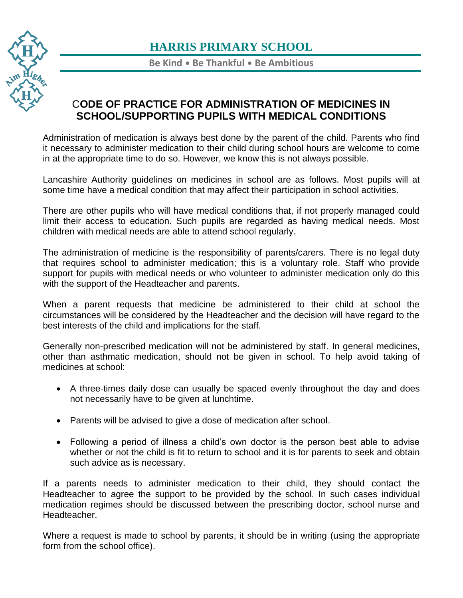

**Be Kind** • **Be Thankful** • **Be Ambitious**

### C**ODE OF PRACTICE FOR ADMINISTRATION OF MEDICINES IN SCHOOL/SUPPORTING PUPILS WITH MEDICAL CONDITIONS**

Administration of medication is always best done by the parent of the child. Parents who find it necessary to administer medication to their child during school hours are welcome to come in at the appropriate time to do so. However, we know this is not always possible.

Lancashire Authority guidelines on medicines in school are as follows. Most pupils will at some time have a medical condition that may affect their participation in school activities.

There are other pupils who will have medical conditions that, if not properly managed could limit their access to education. Such pupils are regarded as having medical needs. Most children with medical needs are able to attend school regularly.

The administration of medicine is the responsibility of parents/carers. There is no legal duty that requires school to administer medication; this is a voluntary role. Staff who provide support for pupils with medical needs or who volunteer to administer medication only do this with the support of the Headteacher and parents.

When a parent requests that medicine be administered to their child at school the circumstances will be considered by the Headteacher and the decision will have regard to the best interests of the child and implications for the staff.

Generally non-prescribed medication will not be administered by staff. In general medicines, other than asthmatic medication, should not be given in school. To help avoid taking of medicines at school:

- A three-times daily dose can usually be spaced evenly throughout the day and does not necessarily have to be given at lunchtime.
- Parents will be advised to give a dose of medication after school.
- Following a period of illness a child's own doctor is the person best able to advise whether or not the child is fit to return to school and it is for parents to seek and obtain such advice as is necessary.

If a parents needs to administer medication to their child, they should contact the Headteacher to agree the support to be provided by the school. In such cases individual medication regimes should be discussed between the prescribing doctor, school nurse and Headteacher.

Where a request is made to school by parents, it should be in writing (using the appropriate form from the school office).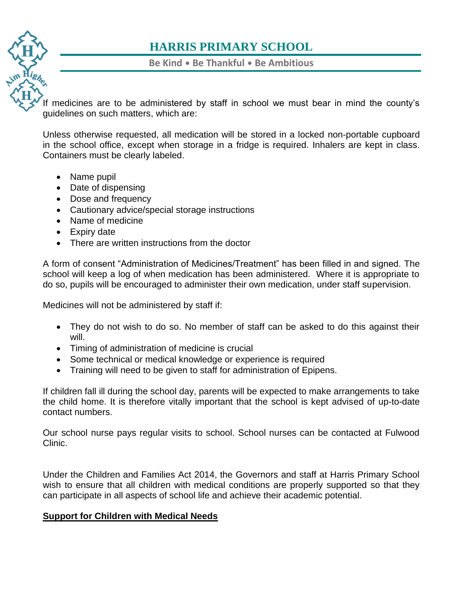

**Be Kind** • **Be Thankful** • **Be Ambitious**

[If m](https://www.harris.lancs.sch.uk/)edicines are to be administered by staff in school we must bear in mind the county's guidelines on such matters, which are:

[Unle](https://www.harris.lancs.sch.uk/contact-details/)ss otherwise requested, all medication will be stored in a locked non-portable cupboard in the school office, except when storage in a fridge is required. Inhalers are kept in class. Containers must be clearly labeled.

- Name pupil
- Date of dispensing
- Dose and frequency
- Cautionary advice/special storage instructions
- Name of medicine
- Expiry date
- There are written instructions from the doctor

A form of consent "Administration of Medicines/Treatment" has been filled in and signed. The school will keep a log of when medication has been administered. Where it is appropriate to do so, pupils will be encouraged to administer their own medication, under staff supervision.

Medicines will not be administered by staff if:

- They do not wish to do so. No member of staff can be asked to do this against their will.
- Timing of administration of medicine is crucial
- Some technical or medical knowledge or experience is required
- Training will need to be given to staff for administration of Epipens.

If children fall ill during the school day, parents will be expected to make arrangements to take the child home. It is therefore vitally important that the school is kept advised of up-to-date contact numbers.

Our school nurse pays regular visits to school. School nurses can be contacted at Fulwood Clinic.

Under the Children and Families Act 2014, the Governors and staff at Harris Primary School wish to ensure that all children with medical conditions are properly supported so that they can participate in all aspects of school life and achieve their academic potential.

### **Support for Children with Medical Needs**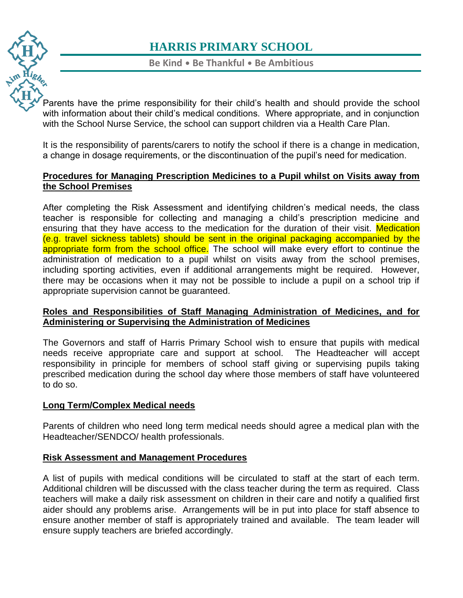

**Be Kind** • **Be Thankful** • **Be Ambitious**

[Par](https://www.harris.lancs.sch.uk/)ents have the prime responsibility for their child's health and should provide the school with information about their child's medical conditions. Where appropriate, and in conjunction [with](https://www.harris.lancs.sch.uk/contact-details/) the School Nurse Service, the school can support children via a Health Care Plan.

It is the responsibility of parents/carers to notify the school if there is a change in medication, a change in dosage requirements, or the discontinuation of the pupil's need for medication.

### **Procedures for Managing Prescription Medicines to a Pupil whilst on Visits away from the School Premises**

After completing the Risk Assessment and identifying children's medical needs, the class teacher is responsible for collecting and managing a child's prescription medicine and ensuring that they have access to the medication for the duration of their visit. Medication (e.g. travel sickness tablets) should be sent in the original packaging accompanied by the appropriate form from the school office. The school will make every effort to continue the administration of medication to a pupil whilst on visits away from the school premises, including sporting activities, even if additional arrangements might be required. However, there may be occasions when it may not be possible to include a pupil on a school trip if appropriate supervision cannot be guaranteed.

### **Roles and Responsibilities of Staff Managing Administration of Medicines, and for Administering or Supervising the Administration of Medicines**

The Governors and staff of Harris Primary School wish to ensure that pupils with medical needs receive appropriate care and support at school. The Headteacher will accept responsibility in principle for members of school staff giving or supervising pupils taking prescribed medication during the school day where those members of staff have volunteered to do so.

### **Long Term/Complex Medical needs**

Parents of children who need long term medical needs should agree a medical plan with the Headteacher/SENDCO/ health professionals.

### **Risk Assessment and Management Procedures**

A list of pupils with medical conditions will be circulated to staff at the start of each term. Additional children will be discussed with the class teacher during the term as required. Class teachers will make a daily risk assessment on children in their care and notify a qualified first aider should any problems arise. Arrangements will be in put into place for staff absence to ensure another member of staff is appropriately trained and available. The team leader will ensure supply teachers are briefed accordingly.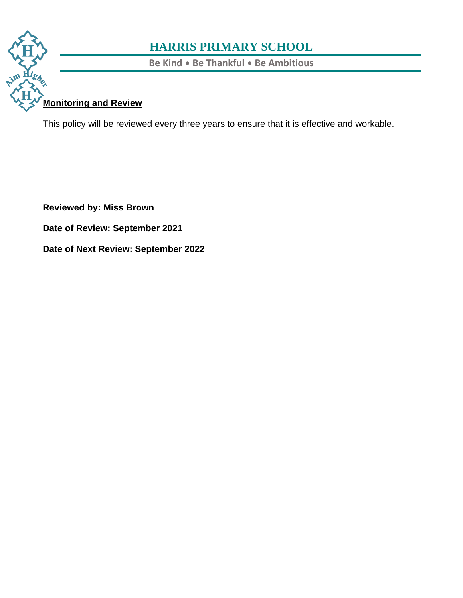

**Be Kind** • **Be Thankful** • **Be Ambitious**

## **[Mon](https://www.harris.lancs.sch.uk/)itoring and Review**

[This](https://www.harris.lancs.sch.uk/contact-details/) policy will be reviewed every three years to ensure that it is effective and workable.

**Reviewed by: Miss Brown**

**Date of Review: September 2021**

**Date of Next Review: September 2022**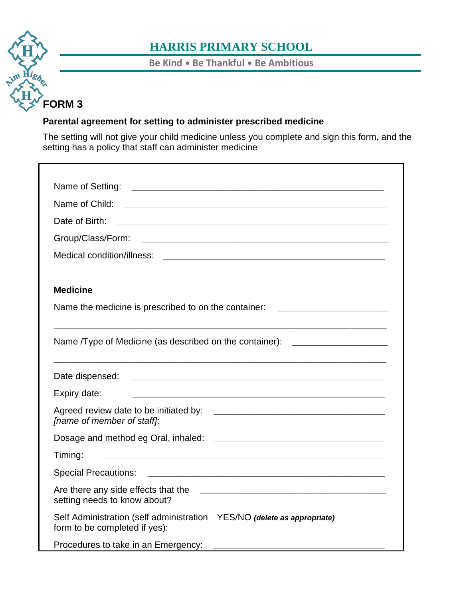# **[FO](https://www.harris.lancs.sch.uk/)RM 3**

## **HARRIS PRIMARY SCHOOL**

**Be Kind** • **Be Thankful** • **Be Ambitious**

### **[Par](https://www.harris.lancs.sch.uk/contact-details/)ental agreement for setting to administer prescribed medicine**

The setting will not give your child medicine unless you complete and sign this form, and the setting has a policy that staff can administer medicine

| Date of Birth:                                                                                           | <u> 1989 - Johann John Stoff, deutscher Stoffen und der Stoffen und der Stoffen und der Stoffen und der Stoffen un</u> |
|----------------------------------------------------------------------------------------------------------|------------------------------------------------------------------------------------------------------------------------|
|                                                                                                          |                                                                                                                        |
|                                                                                                          |                                                                                                                        |
| <b>Medicine</b>                                                                                          |                                                                                                                        |
| Name the medicine is prescribed to on the container:                                                     |                                                                                                                        |
| Name /Type of Medicine (as described on the container): ________________________                         |                                                                                                                        |
| Date dispensed:                                                                                          | <u> 2000 - Jan James James James James James James James James James James James James James James James James J</u>   |
| Expiry date:                                                                                             | <u> 1989 - Johann John Stone, markin sanadi ya kutoka mwaka wa 1989 - Amerika mwaka wa 1989 - Amerika mwaka wa 19</u>  |
| [name of member of staff]:                                                                               |                                                                                                                        |
|                                                                                                          |                                                                                                                        |
| Timing:                                                                                                  | <u> 2000 - Jan James James James James James James James James James James James James James James James James J</u>   |
|                                                                                                          |                                                                                                                        |
| setting needs to know about?                                                                             |                                                                                                                        |
| Self Administration (self administration YES/NO (delete as appropriate)<br>form to be completed if yes): |                                                                                                                        |
| Procedures to take in an Emergency:                                                                      |                                                                                                                        |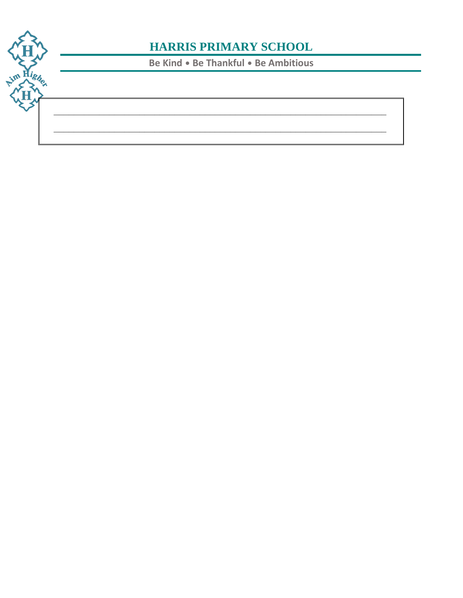

Be Kind . Be Thankful . Be Ambitious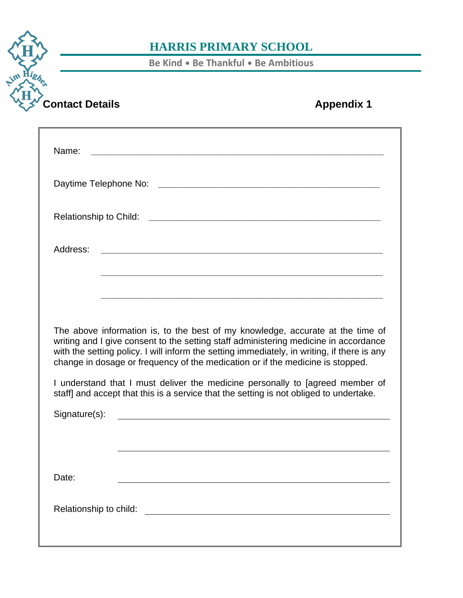**Be Kind** • **Be Thankful** • **Be Ambitious**

**[Co](https://www.harris.lancs.sch.uk/)ntact Details Appendix 1** 

**[Contact](https://www.harris.lancs.sch.uk/contact-details/)**

m Highen

| Name:<br><u> 1989 - Johann Barbara, martxa alemaniar arg</u>                                                                                                                                                                                                                                                                                                                                                                                                                                                                                                                                                |
|-------------------------------------------------------------------------------------------------------------------------------------------------------------------------------------------------------------------------------------------------------------------------------------------------------------------------------------------------------------------------------------------------------------------------------------------------------------------------------------------------------------------------------------------------------------------------------------------------------------|
| Daytime Telephone No:                                                                                                                                                                                                                                                                                                                                                                                                                                                                                                                                                                                       |
| <b>Relationship to Child:</b><br><u> 2000 - 2000 - 2000 - 2000 - 2000 - 2000 - 2000 - 2000 - 2000 - 2000 - 2000 - 2000 - 2000 - 2000 - 2000 - 200</u>                                                                                                                                                                                                                                                                                                                                                                                                                                                       |
| Address:<br><u> 1989 - Johann Barn, amerikansk politiker (d. 1989)</u>                                                                                                                                                                                                                                                                                                                                                                                                                                                                                                                                      |
|                                                                                                                                                                                                                                                                                                                                                                                                                                                                                                                                                                                                             |
| The above information is, to the best of my knowledge, accurate at the time of<br>writing and I give consent to the setting staff administering medicine in accordance<br>with the setting policy. I will inform the setting immediately, in writing, if there is any<br>change in dosage or frequency of the medication or if the medicine is stopped.<br>I understand that I must deliver the medicine personally to [agreed member of<br>staff] and accept that this is a service that the setting is not obliged to undertake.<br>Signature(s):<br><u> 2008 - Jan Barnett, fransk politik (d. 1888)</u> |
| Date:                                                                                                                                                                                                                                                                                                                                                                                                                                                                                                                                                                                                       |
|                                                                                                                                                                                                                                                                                                                                                                                                                                                                                                                                                                                                             |
|                                                                                                                                                                                                                                                                                                                                                                                                                                                                                                                                                                                                             |